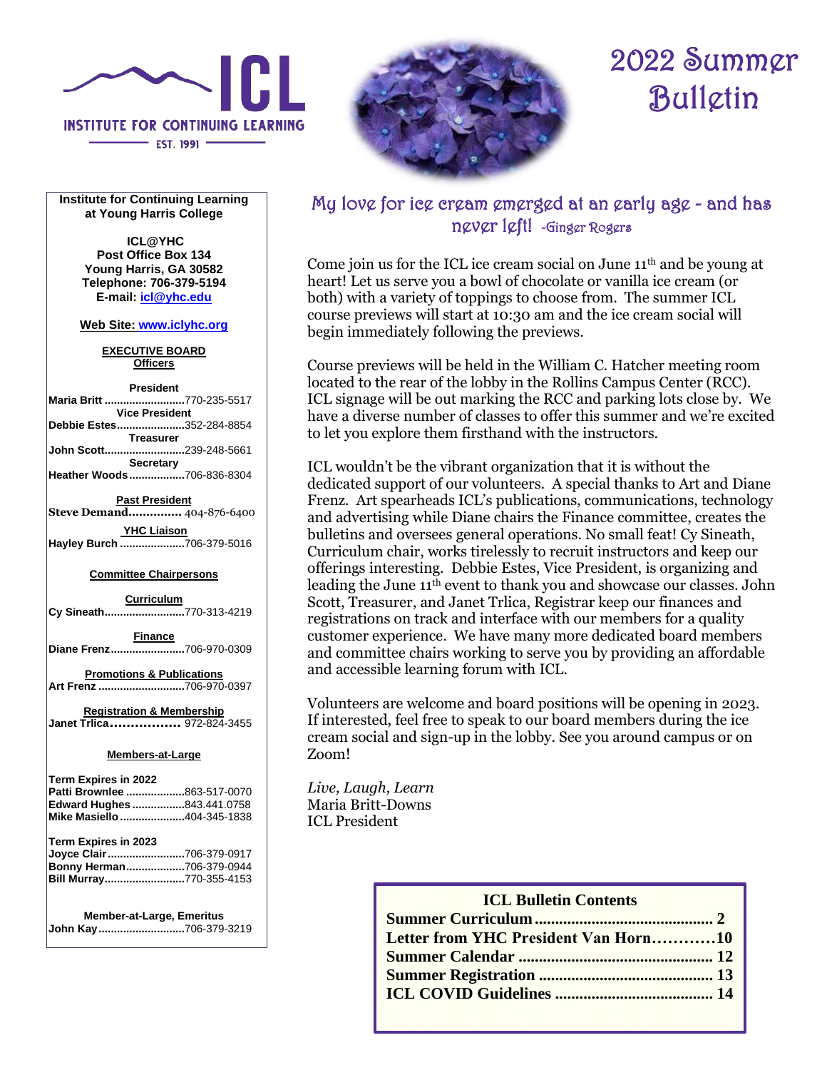

- EST. 1991 -

# 2022 Summer Bulletin

**Institute for Continuing Learning at Young Harris College**

> **ICL@YHC Post Office Box 134 Young Harris, GA 30582 Telephone: 706-379-5194 E-mail: [icl@yhc.edu](mailto:icl@yhc.edu)**

**Web Site[: www.iclyhc.org](https://www.iclyhc.org/)**

**EXECUTIVE BOARD Officers**

| <b>President</b>              |  |  |  |  |
|-------------------------------|--|--|--|--|
| Maria Britt 770-235-5517      |  |  |  |  |
| <b>Vice President</b>         |  |  |  |  |
| Debbie Estes352-284-8854      |  |  |  |  |
| <b>Treasurer</b>              |  |  |  |  |
| John Scott239-248-5661        |  |  |  |  |
| <b>Secretary</b>              |  |  |  |  |
| Heather Woods706-836-8304     |  |  |  |  |
| <b>Past President</b>         |  |  |  |  |
| Steve Demand 404-876-6400     |  |  |  |  |
| <b>YHC Liaison</b>            |  |  |  |  |
| Hayley Burch 706-379-5016     |  |  |  |  |
| <b>Committee Chairpersons</b> |  |  |  |  |

#### **Committee Chairpersons**

**Curriculum Cy Sineath..........................**[770-313-4219](https://hangouts.google.com/?action=chat&pn=%2B17703134219&hl=en&authuser=0) **Finance Diane Frenz........................**706-970-0309 **Promotions & Publications Art Frenz ............................**706-970-0397 **Registration & Membership Janet Trlica.................** 972-824-3455

#### **Members-at-Large**

| Term Expires in 2022<br>Patti Brownlee 863-517-0070                                                     |  |
|---------------------------------------------------------------------------------------------------------|--|
| Edward Hughes 843.441.0758                                                                              |  |
| Mike Masiello 404-345-1838                                                                              |  |
| Term Expires in 2023<br>Joyce Clair 706-379-0917<br>Bonny Herman706-379-0944<br>Bill Murray770-355-4153 |  |
| <b>Member-at-Large, Emeritus</b>                                                                        |  |

**John Kay............................**706-379-3219

# My love for ice cream emerged at an early age - and has never left! -Ginger Rogers

Come join us for the ICL ice cream social on June  $11<sup>th</sup>$  and be young at heart! Let us serve you a bowl of chocolate or vanilla ice cream (or both) with a variety of toppings to choose from. The summer ICL course previews will start at 10:30 am and the ice cream social will begin immediately following the previews.

Course previews will be held in the William C. Hatcher meeting room located to the rear of the lobby in the Rollins Campus Center (RCC). ICL signage will be out marking the RCC and parking lots close by. We have a diverse number of classes to offer this summer and we're excited to let you explore them firsthand with the instructors.

ICL wouldn't be the vibrant organization that it is without the dedicated support of our volunteers. A special thanks to Art and Diane Frenz. Art spearheads ICL's publications, communications, technology and advertising while Diane chairs the Finance committee, creates the bulletins and oversees general operations. No small feat! Cy Sineath, Curriculum chair, works tirelessly to recruit instructors and keep our offerings interesting. Debbie Estes, Vice President, is organizing and leading the June 11th event to thank you and showcase our classes. John Scott, Treasurer, and Janet Trlica, Registrar keep our finances and registrations on track and interface with our members for a quality customer experience. We have many more dedicated board members and committee chairs working to serve you by providing an affordable and accessible learning forum with ICL.

Volunteers are welcome and board positions will be opening in 2023. If interested, feel free to speak to our board members during the ice cream social and sign-up in the lobby. See you around campus or on Zoom!

*Live, Laugh, Learn* Maria Britt-Downs ICL President

# **ICL Bulletin Contents Summer Curriculum............................................ 2 Letter from YHC President Van Horn…………10 Summer Calendar ................................................ 12 Summer Registration ........................................... 13 ICL COVID Guidelines ....................................... 14**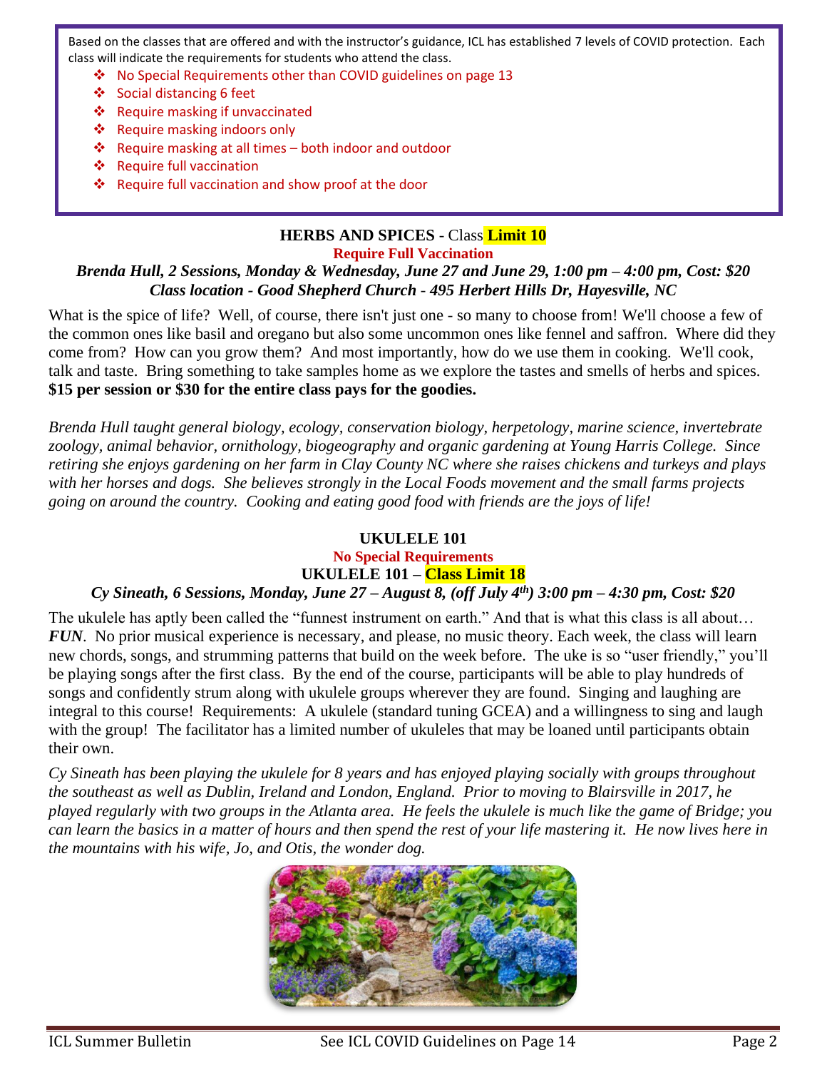Based on the classes that are offered and with the instructor's guidance, ICL has established 7 levels of COVID protection. Each class will indicate the requirements for students who attend the class.

- ❖ No Special Requirements other than COVID guidelines on page 13
- ❖ Social distancing 6 feet
- ❖ Require masking if unvaccinated
- ❖ Require masking indoors only
- ❖ Require masking at all times both indoor and outdoor
- ❖ Require full vaccination
- ❖ Require full vaccination and show proof at the door

# **HERBS AND SPICES** - Class **Limit 10**

**Require Full Vaccination**

#### *Brenda Hull, 2 Sessions, Monday & Wednesday, June 27 and June 29, 1:00 pm – 4:00 pm, Cost: \$20 Class location - Good Shepherd Church - 495 Herbert Hills Dr, Hayesville, NC*

What is the spice of life? Well, of course, there isn't just one - so many to choose from! We'll choose a few of the common ones like basil and oregano but also some uncommon ones like fennel and saffron. Where did they come from? How can you grow them? And most importantly, how do we use them in cooking. We'll cook, talk and taste. Bring something to take samples home as we explore the tastes and smells of herbs and spices. **\$15 per session or \$30 for the entire class pays for the goodies.**

*Brenda Hull taught general biology, ecology, conservation biology, herpetology, marine science, invertebrate zoology, animal behavior, ornithology, biogeography and organic gardening at Young Harris College. Since retiring she enjoys gardening on her farm in Clay County NC where she raises chickens and turkeys and plays with her horses and dogs. She believes strongly in the Local Foods movement and the small farms projects going on around the country. Cooking and eating good food with friends are the joys of life!*

#### **UKULELE 101**

**No Special Requirements**

# **UKULELE 101 – Class Limit 18**

#### *Cy Sineath, 6 Sessions, Monday, June 27 – August 8, (off July 4th) 3:00 pm – 4:30 pm, Cost: \$20*

The ukulele has aptly been called the "funnest instrument on earth." And that is what this class is all about… *FUN*. No prior musical experience is necessary, and please, no music theory. Each week, the class will learn new chords, songs, and strumming patterns that build on the week before. The uke is so "user friendly," you'll be playing songs after the first class. By the end of the course, participants will be able to play hundreds of songs and confidently strum along with ukulele groups wherever they are found. Singing and laughing are integral to this course! Requirements: A ukulele (standard tuning GCEA) and a willingness to sing and laugh with the group! The facilitator has a limited number of ukuleles that may be loaned until participants obtain their own.

*Cy Sineath has been playing the ukulele for 8 years and has enjoyed playing socially with groups throughout the southeast as well as Dublin, Ireland and London, England. Prior to moving to Blairsville in 2017, he played regularly with two groups in the Atlanta area. He feels the ukulele is much like the game of Bridge; you can learn the basics in a matter of hours and then spend the rest of your life mastering it. He now lives here in the mountains with his wife, Jo, and Otis, the wonder dog.*

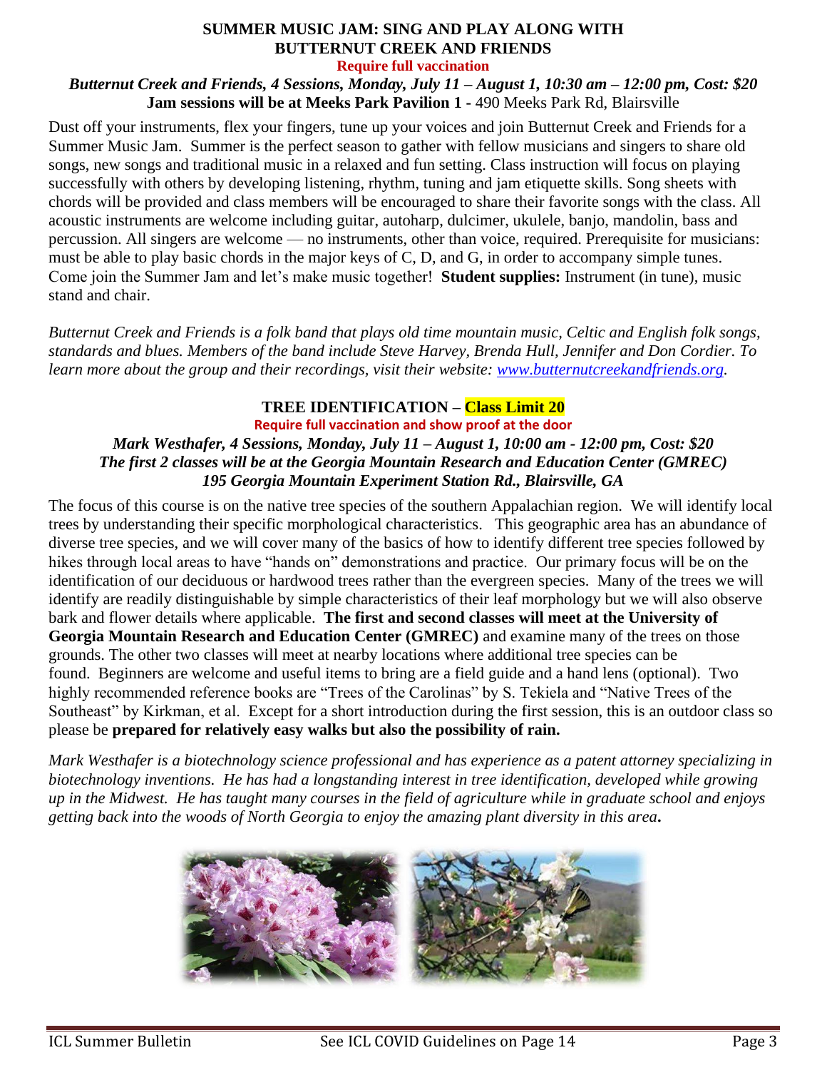# **SUMMER MUSIC JAM: SING AND PLAY ALONG WITH BUTTERNUT CREEK AND FRIENDS**

**Require full vaccination**

*Butternut Creek and Friends, 4 Sessions, Monday, July 11 – August 1, 10:30 am – 12:00 pm, Cost: \$20* **Jam sessions will be at Meeks Park Pavilion 1 -** 490 Meeks Park Rd, Blairsville

Dust off your instruments, flex your fingers, tune up your voices and join Butternut Creek and Friends for a Summer Music Jam. Summer is the perfect season to gather with fellow musicians and singers to share old songs, new songs and traditional music in a relaxed and fun setting. Class instruction will focus on playing successfully with others by developing listening, rhythm, tuning and jam etiquette skills. Song sheets with chords will be provided and class members will be encouraged to share their favorite songs with the class. All acoustic instruments are welcome including guitar, autoharp, dulcimer, ukulele, banjo, mandolin, bass and percussion. All singers are welcome — no instruments, other than voice, required. Prerequisite for musicians: must be able to play basic chords in the major keys of C, D, and G, in order to accompany simple tunes. Come join the Summer Jam and let's make music together! **Student supplies:** Instrument (in tune), music stand and chair.

*Butternut Creek and Friends is a folk band that plays old time mountain music, Celtic and English folk songs, standards and blues. Members of the band include Steve Harvey, Brenda Hull, Jennifer and Don Cordier. To learn more about the group and their recordings, visit their website: [www.butternutcreekandfriends.org.](http://www.butternutcreekandfriends.org/)*

### **TREE IDENTIFICATION – Class Limit 20**

**Require full vaccination and show proof at the door** *Mark Westhafer, 4 Sessions, Monday, July 11 – August 1, 10:00 am - 12:00 pm, Cost: \$20 The first 2 classes will be at the Georgia Mountain Research and Education Center (GMREC) 195 Georgia Mountain Experiment Station Rd., Blairsville, GA*

The focus of this course is on the native tree species of the southern Appalachian region. We will identify local trees by understanding their specific morphological characteristics. This geographic area has an abundance of diverse tree species, and we will cover many of the basics of how to identify different tree species followed by hikes through local areas to have "hands on" demonstrations and practice. Our primary focus will be on the identification of our deciduous or hardwood trees rather than the evergreen species. Many of the trees we will identify are readily distinguishable by simple characteristics of their leaf morphology but we will also observe bark and flower details where applicable. **The first and second classes will meet at the University of Georgia Mountain Research and Education Center (GMREC)** and examine many of the trees on those grounds. The other two classes will meet at nearby locations where additional tree species can be found. Beginners are welcome and useful items to bring are a field guide and a hand lens (optional). Two highly recommended reference books are "Trees of the Carolinas" by S. Tekiela and "Native Trees of the Southeast" by Kirkman, et al. Except for a short introduction during the first session, this is an outdoor class so please be **prepared for relatively easy walks but also the possibility of rain.**

*Mark Westhafer is a biotechnology science professional and has experience as a patent attorney specializing in biotechnology inventions. He has had a longstanding interest in tree identification, developed while growing up in the Midwest. He has taught many courses in the field of agriculture while in graduate school and enjoys getting back into the woods of North Georgia to enjoy the amazing plant diversity in this area***.**

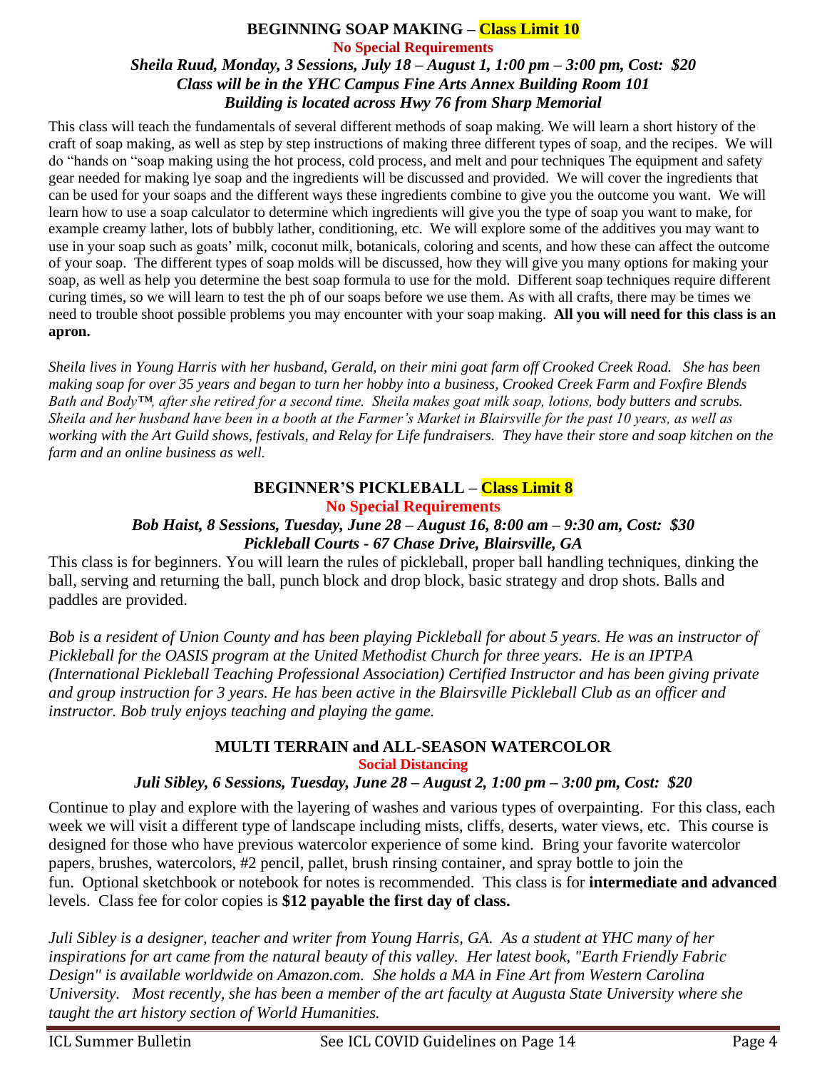#### **BEGINNING SOAP MAKING – Class Limit 10 No Special Requirements** *Sheila Ruud, Monday, 3 Sessions, July 18 – August 1, 1:00 pm – 3:00 pm, Cost: \$20 Class will be in the YHC Campus Fine Arts Annex Building Room 101 Building is located across Hwy 76 from Sharp Memorial*

This class will teach the fundamentals of several different methods of soap making. We will learn a short history of the craft of soap making, as well as step by step instructions of making three different types of soap, and the recipes. We will do "hands on "soap making using the hot process, cold process, and melt and pour techniques The equipment and safety gear needed for making lye soap and the ingredients will be discussed and provided. We will cover the ingredients that can be used for your soaps and the different ways these ingredients combine to give you the outcome you want. We will learn how to use a soap calculator to determine which ingredients will give you the type of soap you want to make, for example creamy lather, lots of bubbly lather, conditioning, etc. We will explore some of the additives you may want to use in your soap such as goats' milk, coconut milk, botanicals, coloring and scents, and how these can affect the outcome of your soap. The different types of soap molds will be discussed, how they will give you many options for making your soap, as well as help you determine the best soap formula to use for the mold. Different soap techniques require different curing times, so we will learn to test the ph of our soaps before we use them. As with all crafts, there may be times we need to trouble shoot possible problems you may encounter with your soap making. **All you will need for this class is an apron.** 

*Sheila lives in Young Harris with her husband, Gerald, on their mini goat farm off Crooked Creek Road. She has been making soap for over 35 years and began to turn her hobby into a business, Crooked Creek Farm and Foxfire Blends Bath and Body™, after she retired for a second time. Sheila makes goat milk soap, lotions, body butters and scrubs. Sheila and her husband have been in a booth at the Farmer's Market in Blairsville for the past 10 years, as well as working with the Art Guild shows, festivals, and Relay for Life fundraisers. They have their store and soap kitchen on the farm and an online business as well.*

#### **BEGINNER'S PICKLEBALL – Class Limit 8 No Special Requirements**

#### *Bob Haist, 8 Sessions, Tuesday, June 28 – August 16, 8:00 am – 9:30 am, Cost: \$30 Pickleball Courts - 67 Chase Drive, Blairsville, GA*

This class is for beginners. You will learn the rules of pickleball, proper ball handling techniques, dinking the ball, serving and returning the ball, punch block and drop block, basic strategy and drop shots. Balls and paddles are provided.

*Bob is a resident of Union County and has been playing Pickleball for about 5 years. He was an instructor of Pickleball for the OASIS program at the United Methodist Church for three years. He is an IPTPA (International Pickleball Teaching Professional Association) Certified Instructor and has been giving private and group instruction for 3 years. He has been active in the Blairsville Pickleball Club as an officer and instructor. Bob truly enjoys teaching and playing the game.*

### **MULTI TERRAIN and ALL-SEASON WATERCOLOR Social Distancing**

#### *Juli Sibley, 6 Sessions, Tuesday, June 28 – August 2, 1:00 pm – 3:00 pm, Cost: \$20*

Continue to play and explore with the layering of washes and various types of overpainting. For this class, each week we will visit a different type of landscape including mists, cliffs, deserts, water views, etc. This course is designed for those who have previous watercolor experience of some kind. Bring your favorite watercolor papers, brushes, watercolors, #2 pencil, pallet, brush rinsing container, and spray bottle to join the fun. Optional sketchbook or notebook for notes is recommended. This class is for **intermediate and advanced** levels. Class fee for color copies is **\$12 payable the first day of class.**

*Juli Sibley is a designer, teacher and writer from Young Harris, GA. As a student at YHC many of her inspirations for art came from the natural beauty of this valley. Her latest book, "Earth Friendly Fabric Design" is available worldwide on Amazon.com. She holds a MA in Fine Art from Western Carolina University. Most recently, she has been a member of the art faculty at Augusta State University where she taught the art history section of World Humanities.*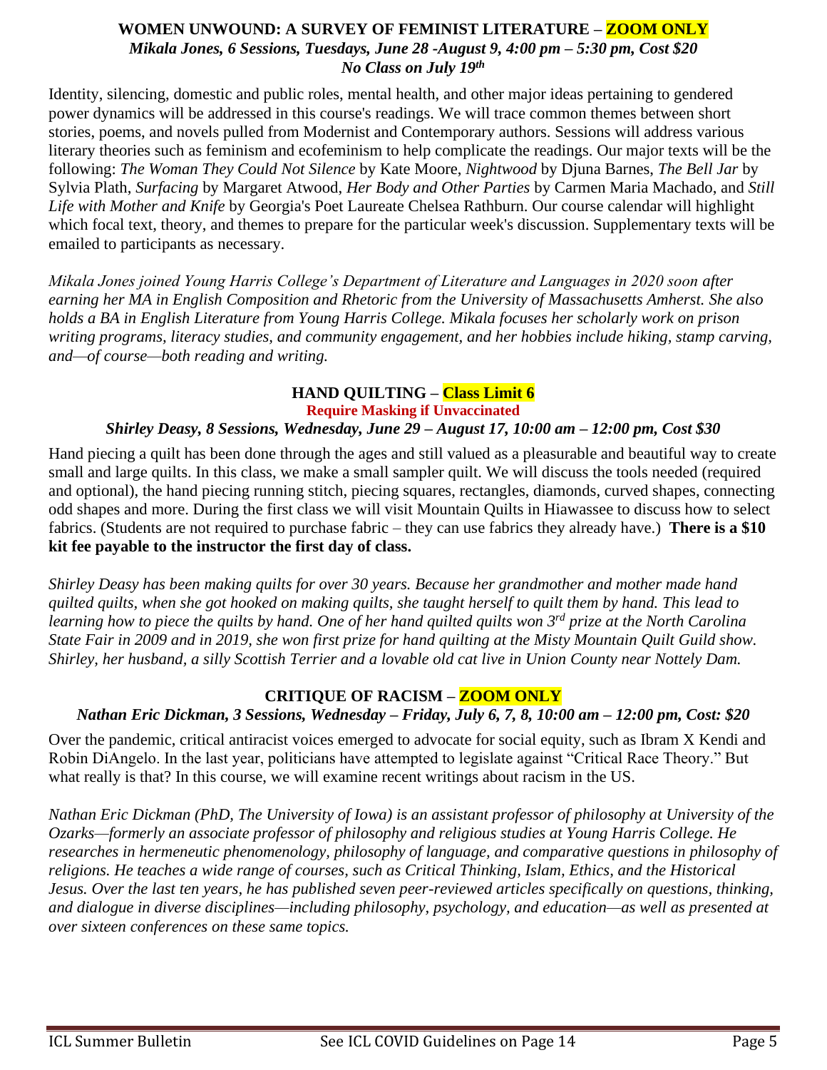#### **WOMEN UNWOUND: A SURVEY OF FEMINIST LITERATURE – ZOOM ONLY** *Mikala Jones, 6 Sessions, Tuesdays, June 28 -August 9, 4:00 pm – 5:30 pm, Cost \$20 No Class on July 19th*

Identity, silencing, domestic and public roles, mental health, and other major ideas pertaining to gendered power dynamics will be addressed in this course's readings. We will trace common themes between short stories, poems, and novels pulled from Modernist and Contemporary authors. Sessions will address various literary theories such as feminism and ecofeminism to help complicate the readings. Our major texts will be the following: *The Woman They Could Not Silence* by Kate Moore, *Nightwood* by Djuna Barnes, *The Bell Jar* by Sylvia Plath, *Surfacing* by Margaret Atwood, *Her Body and Other Parties* by Carmen Maria Machado, and *Still Life with Mother and Knife* by Georgia's Poet Laureate Chelsea Rathburn. Our course calendar will highlight which focal text, theory, and themes to prepare for the particular week's discussion. Supplementary texts will be emailed to participants as necessary.

*Mikala Jones joined Young Harris College's Department of Literature and Languages in 2020 soon after earning her MA in English Composition and Rhetoric from the University of Massachusetts Amherst. She also holds a BA in English Literature from Young Harris College. Mikala focuses her scholarly work on prison writing programs, literacy studies, and community engagement, and her hobbies include hiking, stamp carving, and—of course—both reading and writing.*

### **HAND QUILTING – Class Limit 6**

**Require Masking if Unvaccinated**

### *Shirley Deasy, 8 Sessions, Wednesday, June 29 – August 17, 10:00 am – 12:00 pm, Cost \$30*

Hand piecing a quilt has been done through the ages and still valued as a pleasurable and beautiful way to create small and large quilts. In this class, we make a small sampler quilt. We will discuss the tools needed (required and optional), the hand piecing running stitch, piecing squares, rectangles, diamonds, curved shapes, connecting odd shapes and more. During the first class we will visit Mountain Quilts in Hiawassee to discuss how to select fabrics. (Students are not required to purchase fabric – they can use fabrics they already have.) **There is a \$10 kit fee payable to the instructor the first day of class.**

*Shirley Deasy has been making quilts for over 30 years. Because her grandmother and mother made hand quilted quilts, when she got hooked on making quilts, she taught herself to quilt them by hand. This lead to learning how to piece the quilts by hand. One of her hand quilted quilts won 3rd prize at the North Carolina State Fair in 2009 and in 2019, she won first prize for hand quilting at the Misty Mountain Quilt Guild show. Shirley, her husband, a silly Scottish Terrier and a lovable old cat live in Union County near Nottely Dam.* 

#### **CRITIQUE OF RACISM – ZOOM ONLY**

#### *Nathan Eric Dickman, 3 Sessions, Wednesday – Friday, July 6, 7, 8, 10:00 am – 12:00 pm, Cost: \$20*

Over the pandemic, critical antiracist voices emerged to advocate for social equity, such as Ibram X Kendi and Robin DiAngelo. In the last year, politicians have attempted to legislate against "Critical Race Theory." But what really is that? In this course, we will examine recent writings about racism in the US.

*Nathan Eric Dickman (PhD, The University of Iowa) is an assistant professor of philosophy at University of the Ozarks—formerly an associate professor of philosophy and religious studies at Young Harris College. He researches in hermeneutic phenomenology, philosophy of language, and comparative questions in philosophy of religions. He teaches a wide range of courses, such as Critical Thinking, Islam, Ethics, and the Historical Jesus. Over the last ten years, he has published seven peer-reviewed articles specifically on questions, thinking, and dialogue in diverse disciplines—including philosophy, psychology, and education—as well as presented at over sixteen conferences on these same topics.*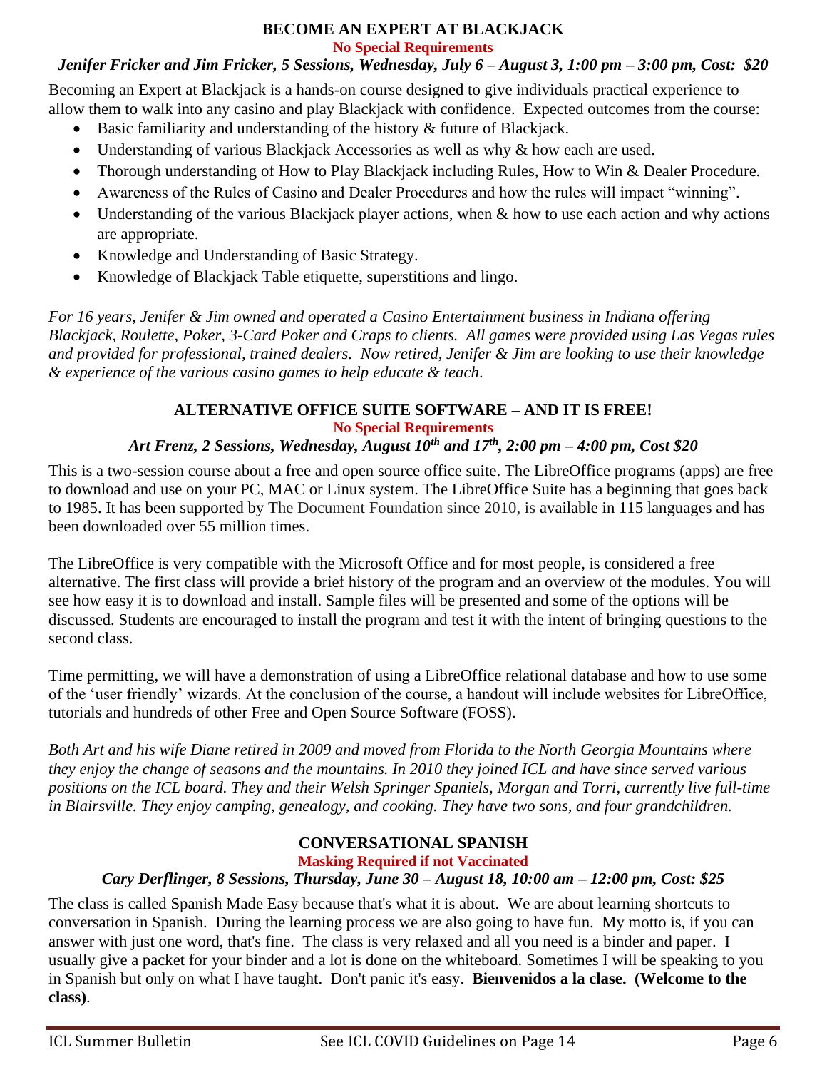#### **BECOME AN EXPERT AT BLACKJACK No Special Requirements**

# *Jenifer Fricker and Jim Fricker, 5 Sessions, Wednesday, July 6 – August 3, 1:00 pm – 3:00 pm, Cost: \$20*

Becoming an Expert at Blackjack is a hands-on course designed to give individuals practical experience to allow them to walk into any casino and play Blackjack with confidence. Expected outcomes from the course:

- Basic familiarity and understanding of the history & future of Blackjack.
- Understanding of various Blackjack Accessories as well as why & how each are used.
- Thorough understanding of How to Play Blackjack including Rules, How to Win & Dealer Procedure.
- Awareness of the Rules of Casino and Dealer Procedures and how the rules will impact "winning".
- Understanding of the various Blackjack player actions, when  $\&$  how to use each action and why actions are appropriate.
- Knowledge and Understanding of Basic Strategy.
- Knowledge of Blackjack Table etiquette, superstitions and lingo.

*For 16 years, Jenifer & Jim owned and operated a Casino Entertainment business in Indiana offering Blackjack, Roulette, Poker, 3-Card Poker and Craps to clients. All games were provided using Las Vegas rules and provided for professional, trained dealers. Now retired, Jenifer & Jim are looking to use their knowledge & experience of the various casino games to help educate & teach*.

#### **ALTERNATIVE OFFICE SUITE SOFTWARE – AND IT IS FREE! No Special Requirements**

# *Art Frenz, 2 Sessions, Wednesday, August 10th and 17th, 2:00 pm – 4:00 pm, Cost \$20*

This is a two-session course about a free and open source office suite. The LibreOffice programs (apps) are free to download and use on your PC, MAC or Linux system. The LibreOffice Suite has a beginning that goes back to 1985. It has been supported by The Document Foundation since 2010, is available in 115 languages and has been downloaded over 55 million times.

The LibreOffice is very compatible with the Microsoft Office and for most people, is considered a free alternative. The first class will provide a brief history of the program and an overview of the modules. You will see how easy it is to download and install. Sample files will be presented and some of the options will be discussed. Students are encouraged to install the program and test it with the intent of bringing questions to the second class.

Time permitting, we will have a demonstration of using a LibreOffice relational database and how to use some of the 'user friendly' wizards. At the conclusion of the course, a handout will include websites for LibreOffice, tutorials and hundreds of other Free and Open Source Software (FOSS).

*Both Art and his wife Diane retired in 2009 and moved from Florida to the North Georgia Mountains where they enjoy the change of seasons and the mountains. In 2010 they joined ICL and have since served various positions on the ICL board. They and their Welsh Springer Spaniels, Morgan and Torri, currently live full-time in Blairsville. They enjoy camping, genealogy, and cooking. They have two sons, and four grandchildren.* 

#### **CONVERSATIONAL SPANISH Masking Required if not Vaccinated**

# *Cary Derflinger, 8 Sessions, Thursday, June 30 – August 18, 10:00 am – 12:00 pm, Cost: \$25*

The class is called Spanish Made Easy because that's what it is about. We are about learning shortcuts to conversation in Spanish. During the learning process we are also going to have fun. My motto is, if you can answer with just one word, that's fine. The class is very relaxed and all you need is a binder and paper. I usually give a packet for your binder and a lot is done on the whiteboard. Sometimes I will be speaking to you in Spanish but only on what I have taught. Don't panic it's easy. **Bienvenidos a la clase. (Welcome to the class)**.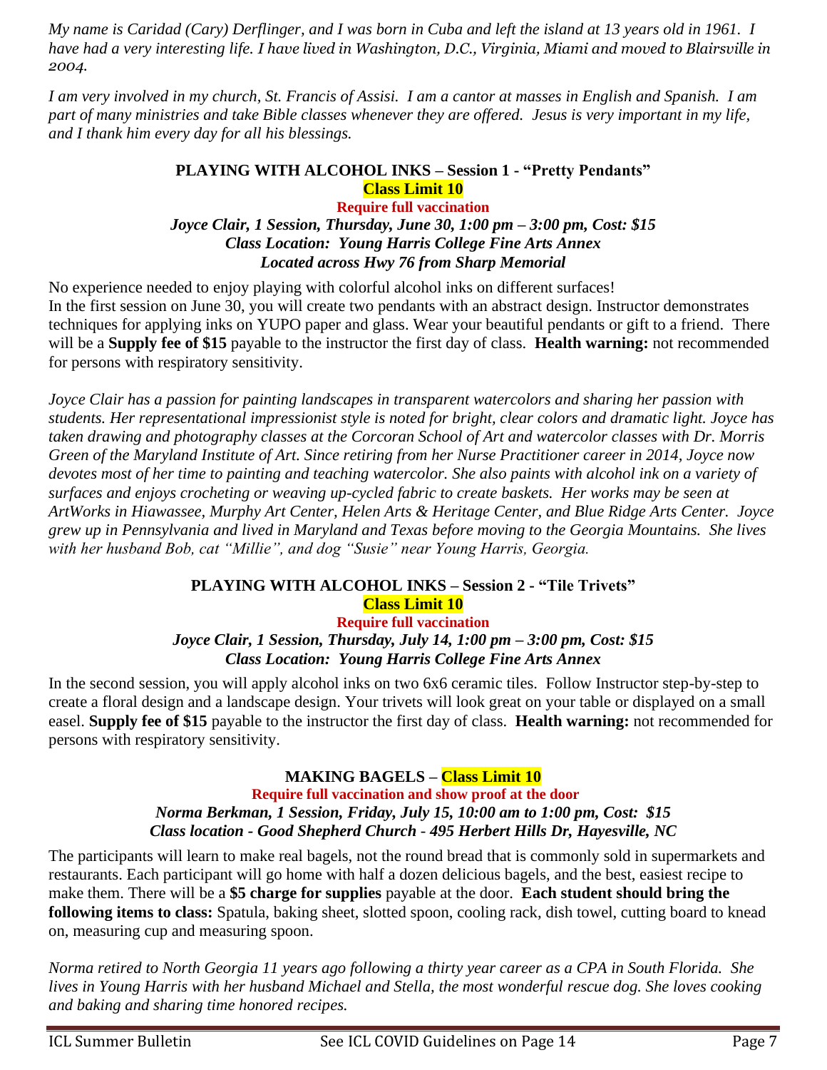*My name is Caridad (Cary) Derflinger, and I was born in Cuba and left the island at 13 years old in 1961. I have had a very interesting life. I have lived in Washington, D.C., Virginia, Miami and moved to Blairsville in 2004.*

*I am very involved in my church, St. Francis of Assisi. I am a cantor at masses in English and Spanish. I am part of many ministries and take Bible classes whenever they are offered. Jesus is very important in my life, and I thank him every day for all his blessings.*

#### **PLAYING WITH ALCOHOL INKS – Session 1 - "Pretty Pendants" Class Limit 10 Require full vaccination** *Joyce Clair, 1 Session, Thursday, June 30, 1:00 pm – 3:00 pm, Cost: \$15 Class Location: Young Harris College Fine Arts Annex Located across Hwy 76 from Sharp Memorial*

No experience needed to enjoy playing with colorful alcohol inks on different surfaces! In the first session on June 30, you will create two pendants with an abstract design. Instructor demonstrates techniques for applying inks on YUPO paper and glass. Wear your beautiful pendants or gift to a friend. There will be a **Supply fee of \$15** payable to the instructor the first day of class. **Health warning:** not recommended for persons with respiratory sensitivity.

*Joyce Clair has a passion for painting landscapes in transparent watercolors and sharing her passion with students. Her representational impressionist style is noted for bright, clear colors and dramatic light. Joyce has taken drawing and photography classes at the Corcoran School of Art and watercolor classes with Dr. Morris Green of the Maryland Institute of Art. Since retiring from her Nurse Practitioner career in 2014, Joyce now devotes most of her time to painting and teaching watercolor. She also paints with alcohol ink on a variety of surfaces and enjoys crocheting or weaving up-cycled fabric to create baskets. Her works may be seen at ArtWorks in Hiawassee, Murphy Art Center, Helen Arts & Heritage Center, and Blue Ridge Arts Center. Joyce grew up in Pennsylvania and lived in Maryland and Texas before moving to the Georgia Mountains. She lives with her husband Bob, cat "Millie", and dog "Susie" near Young Harris, Georgia.* 

# **PLAYING WITH ALCOHOL INKS – Session 2 - "Tile Trivets" Class Limit 10**

**Require full vaccination** *Joyce Clair, 1 Session, Thursday, July 14, 1:00 pm – 3:00 pm, Cost: \$15 Class Location: Young Harris College Fine Arts Annex*

In the second session, you will apply alcohol inks on two 6x6 ceramic tiles. Follow Instructor step-by-step to create a floral design and a landscape design. Your trivets will look great on your table or displayed on a small easel. **Supply fee of \$15** payable to the instructor the first day of class. **Health warning:** not recommended for persons with respiratory sensitivity.

# **MAKING BAGELS – Class Limit 10**

**Require full vaccination and show proof at the door** *Norma Berkman, 1 Session, Friday, July 15, 10:00 am to 1:00 pm, Cost: \$15 Class location - Good Shepherd Church - 495 Herbert Hills Dr, Hayesville, NC* 

The participants will learn to make real bagels, not the round bread that is commonly sold in supermarkets and restaurants. Each participant will go home with half a dozen delicious bagels, and the best, easiest recipe to make them. There will be a **\$5 charge for supplies** payable at the door. **Each student should bring the following items to class:** Spatula, baking sheet, slotted spoon, cooling rack, dish towel, cutting board to knead on, measuring cup and measuring spoon.

*Norma retired to North Georgia 11 years ago following a thirty year career as a CPA in South Florida. She lives in Young Harris with her husband Michael and Stella, the most wonderful rescue dog. She loves cooking and baking and sharing time honored recipes.*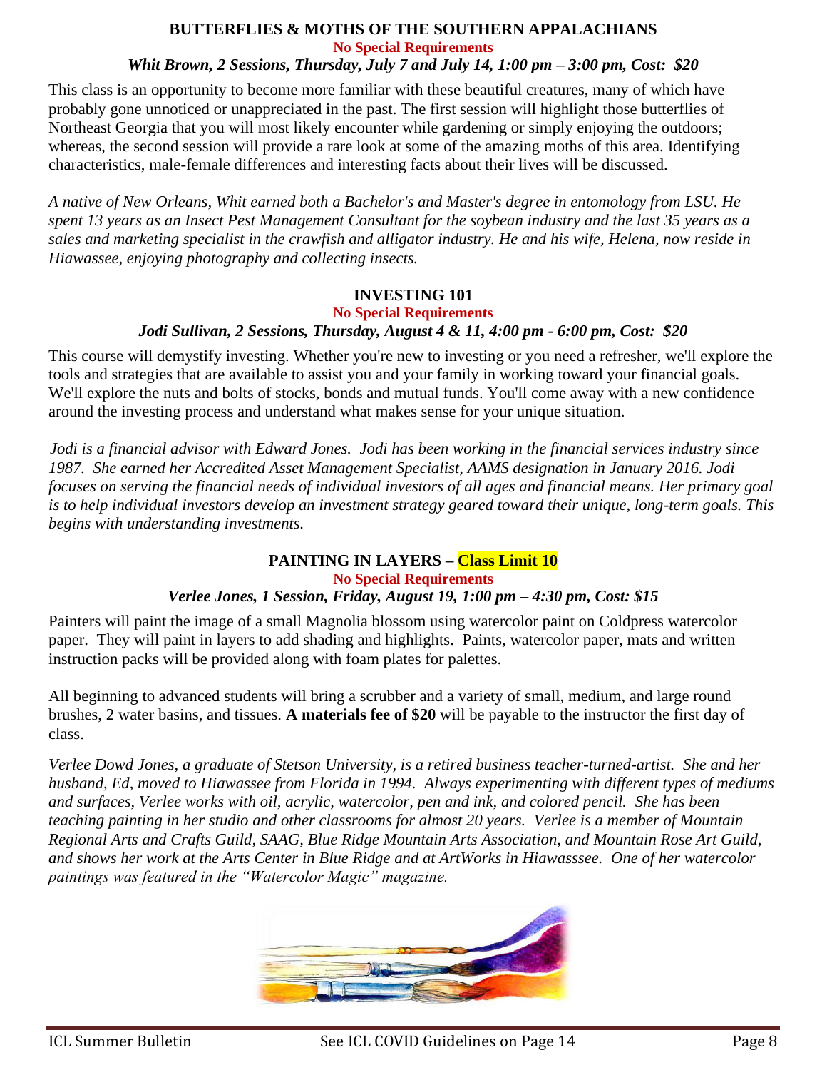# **BUTTERFLIES & MOTHS OF THE SOUTHERN APPALACHIANS No Special Requirements**

*Whit Brown, 2 Sessions, Thursday, July 7 and July 14, 1:00 pm – 3:00 pm, Cost: \$20*

This class is an opportunity to become more familiar with these beautiful creatures, many of which have probably gone unnoticed or unappreciated in the past. The first session will highlight those butterflies of Northeast Georgia that you will most likely encounter while gardening or simply enjoying the outdoors; whereas, the second session will provide a rare look at some of the amazing moths of this area. Identifying characteristics, male-female differences and interesting facts about their lives will be discussed.

*A native of New Orleans, Whit earned both a Bachelor's and Master's degree in entomology from LSU. He spent 13 years as an Insect Pest Management Consultant for the soybean industry and the last 35 years as a sales and marketing specialist in the crawfish and alligator industry. He and his wife, Helena, now reside in Hiawassee, enjoying photography and collecting insects.*

#### **INVESTING 101**

**No Special Requirements**

#### *Jodi Sullivan, 2 Sessions, Thursday, August 4 & 11, 4:00 pm - 6:00 pm, Cost: \$20*

This course will demystify investing. Whether you're new to investing or you need a refresher, we'll explore the tools and strategies that are available to assist you and your family in working toward your financial goals. We'll explore the nuts and bolts of stocks, bonds and mutual funds. You'll come away with a new confidence around the investing process and understand what makes sense for your unique situation.

*Jodi is a financial advisor with Edward Jones. Jodi has been working in the financial services industry since 1987. She earned her Accredited Asset Management Specialist, AAMS designation in January 2016. Jodi focuses on serving the financial needs of individual investors of all ages and financial means. Her primary goal is to help individual investors develop an investment strategy geared toward their unique, long-term goals. This begins with understanding investments.*

#### **PAINTING IN LAYERS – Class Limit 10 No Special Requirements** *Verlee Jones, 1 Session, Friday, August 19, 1:00 pm – 4:30 pm, Cost: \$15*

Painters will paint the image of a small Magnolia blossom using watercolor paint on Coldpress watercolor paper. They will paint in layers to add shading and highlights. Paints, watercolor paper, mats and written instruction packs will be provided along with foam plates for palettes.

All beginning to advanced students will bring a scrubber and a variety of small, medium, and large round brushes, 2 water basins, and tissues. **A materials fee of \$20** will be payable to the instructor the first day of class.

*Verlee Dowd Jones, a graduate of Stetson University, is a retired business teacher-turned-artist. She and her husband, Ed, moved to Hiawassee from Florida in 1994. Always experimenting with different types of mediums and surfaces, Verlee works with oil, acrylic, watercolor, pen and ink, and colored pencil. She has been teaching painting in her studio and other classrooms for almost 20 years. Verlee is a member of Mountain Regional Arts and Crafts Guild, SAAG, Blue Ridge Mountain Arts Association, and Mountain Rose Art Guild, and shows her work at the Arts Center in Blue Ridge and at ArtWorks in Hiawasssee. One of her watercolor paintings was featured in the "Watercolor Magic" magazine.*

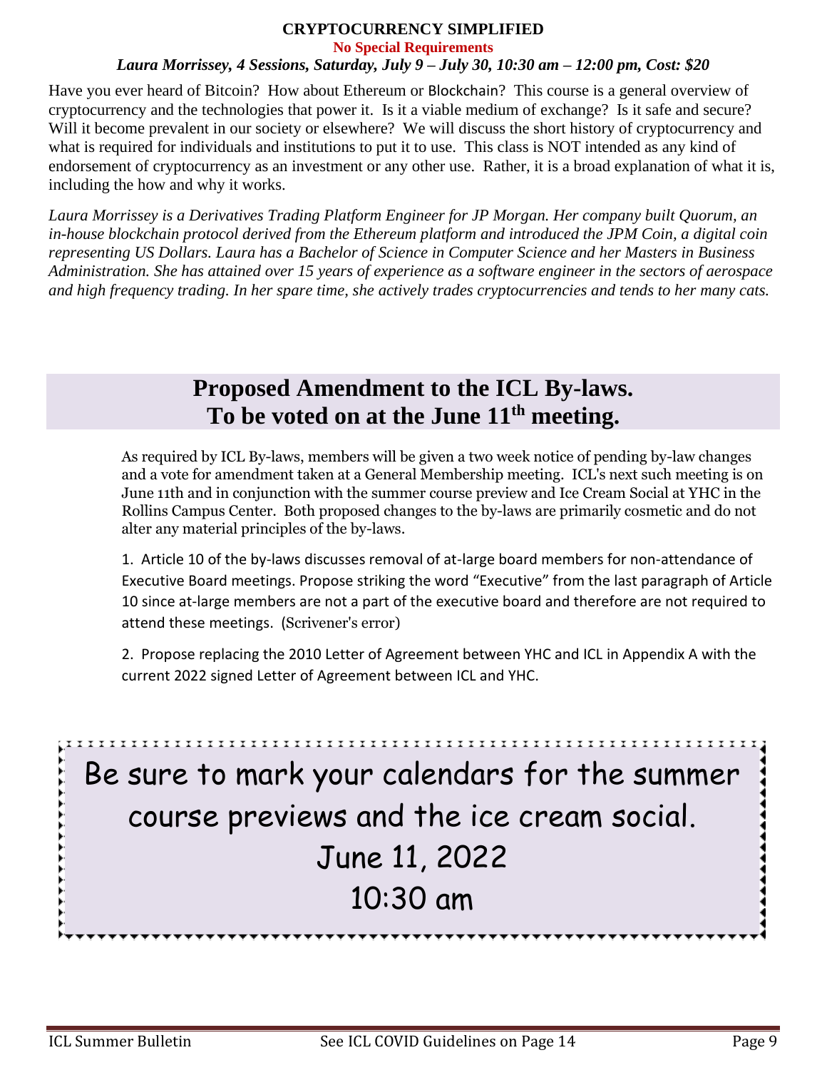# **CRYPTOCURRENCY SIMPLIFIED**

**No Special Requirements**

#### *Laura Morrissey, 4 Sessions, Saturday, July 9 – July 30, 10:30 am – 12:00 pm, Cost: \$20*

Have you ever heard of Bitcoin? How about Ethereum or Blockchain? This course is a general overview of cryptocurrency and the technologies that power it. Is it a viable medium of exchange? Is it safe and secure? Will it become prevalent in our society or elsewhere? We will discuss the short history of cryptocurrency and what is required for individuals and institutions to put it to use. This class is NOT intended as any kind of endorsement of cryptocurrency as an investment or any other use. Rather, it is a broad explanation of what it is, including the how and why it works.

*Laura Morrissey is a Derivatives Trading Platform Engineer for JP Morgan. Her company built Quorum, an in-house blockchain protocol derived from the Ethereum platform and introduced the JPM Coin, a digital coin representing US Dollars. Laura has a Bachelor of Science in Computer Science and her Masters in Business Administration. She has attained over 15 years of experience as a software engineer in the sectors of aerospace and high frequency trading. In her spare time, she actively trades cryptocurrencies and tends to her many cats.*

# **Proposed Amendment to the ICL By-laws. To be voted on at the June 11th meeting.**

As required by ICL By-laws, members will be given a two week notice of pending by-law changes and a vote for amendment taken at a General Membership meeting. ICL's next such meeting is on June 11th and in conjunction with the summer course preview and Ice Cream Social at YHC in the Rollins Campus Center. Both proposed changes to the by-laws are primarily cosmetic and do not alter any material principles of the by-laws.

1. Article 10 of the by-laws discusses removal of at-large board members for non-attendance of Executive Board meetings. Propose striking the word "Executive" from the last paragraph of Article 10 since at-large members are not a part of the executive board and therefore are not required to attend these meetings. (Scrivener's error)

2. Propose replacing the 2010 Letter of Agreement between YHC and ICL in Appendix A with the current 2022 signed Letter of Agreement between ICL and YHC.

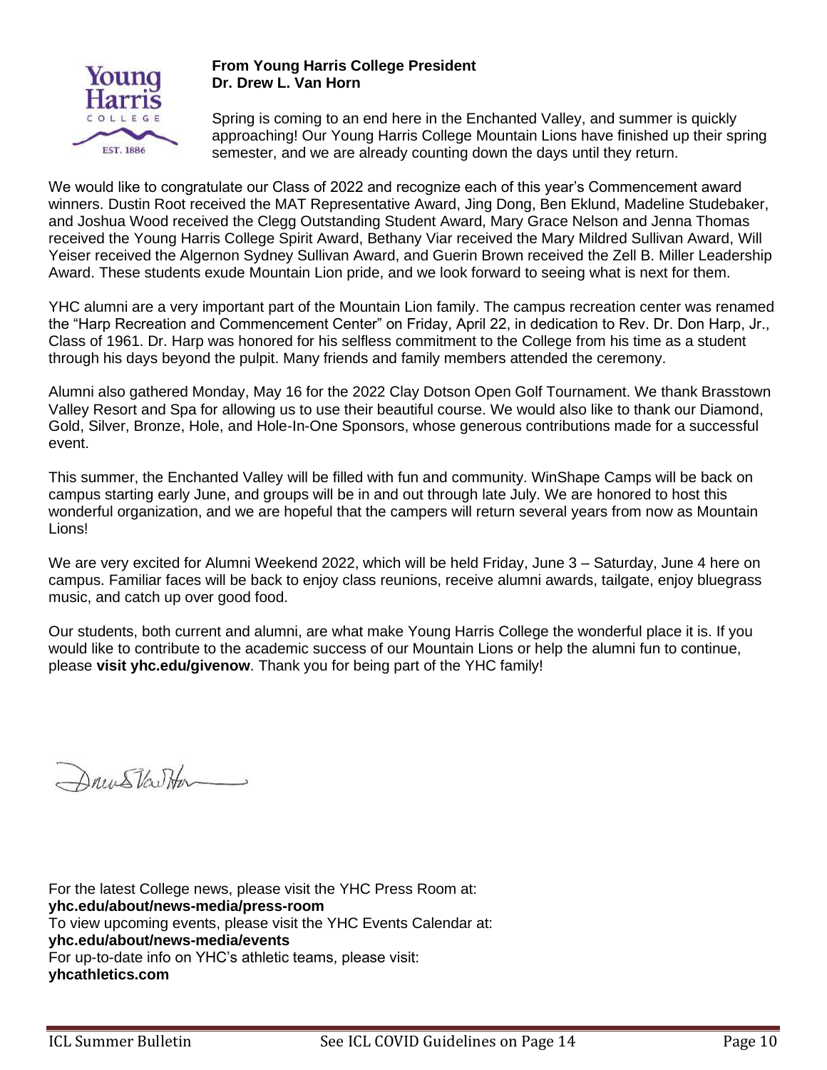

#### **From Young Harris College President Dr. Drew L. Van Horn**

Spring is coming to an end here in the Enchanted Valley, and summer is quickly approaching! Our Young Harris College Mountain Lions have finished up their spring semester, and we are already counting down the days until they return.

We would like to congratulate our Class of 2022 and recognize each of this year's Commencement award winners. Dustin Root received the MAT Representative Award, Jing Dong, Ben Eklund, Madeline Studebaker, and Joshua Wood received the Clegg Outstanding Student Award, Mary Grace Nelson and Jenna Thomas received the Young Harris College Spirit Award, Bethany Viar received the Mary Mildred Sullivan Award, Will Yeiser received the Algernon Sydney Sullivan Award, and Guerin Brown received the Zell B. Miller Leadership Award. These students exude Mountain Lion pride, and we look forward to seeing what is next for them.

YHC alumni are a very important part of the Mountain Lion family. The campus recreation center was renamed the "Harp Recreation and Commencement Center" on Friday, April 22, in dedication to Rev. Dr. Don Harp, Jr., Class of 1961. Dr. Harp was honored for his selfless commitment to the College from his time as a student through his days beyond the pulpit. Many friends and family members attended the ceremony.

Alumni also gathered Monday, May 16 for the 2022 Clay Dotson Open Golf Tournament. We thank Brasstown Valley Resort and Spa for allowing us to use their beautiful course. We would also like to thank our Diamond, Gold, Silver, Bronze, Hole, and Hole-In-One Sponsors, whose generous contributions made for a successful event.

This summer, the Enchanted Valley will be filled with fun and community. WinShape Camps will be back on campus starting early June, and groups will be in and out through late July. We are honored to host this wonderful organization, and we are hopeful that the campers will return several years from now as Mountain Lions!

We are very excited for Alumni Weekend 2022, which will be held Friday, June 3 – Saturday, June 4 here on campus. Familiar faces will be back to enjoy class reunions, receive alumni awards, tailgate, enjoy bluegrass music, and catch up over good food.

Our students, both current and alumni, are what make Young Harris College the wonderful place it is. If you would like to contribute to the academic success of our Mountain Lions or help the alumni fun to continue, please **visit yhc.edu/givenow**. Thank you for being part of the YHC family!

Drun Starton

For the latest College news, please visit the YHC Press Room at: **yhc.edu/about/news-media/press-room** To view upcoming events, please visit the YHC Events Calendar at: **yhc.edu/about/news-media/events** For up-to-date info on YHC's athletic teams, please visit: **yhcathletics.com**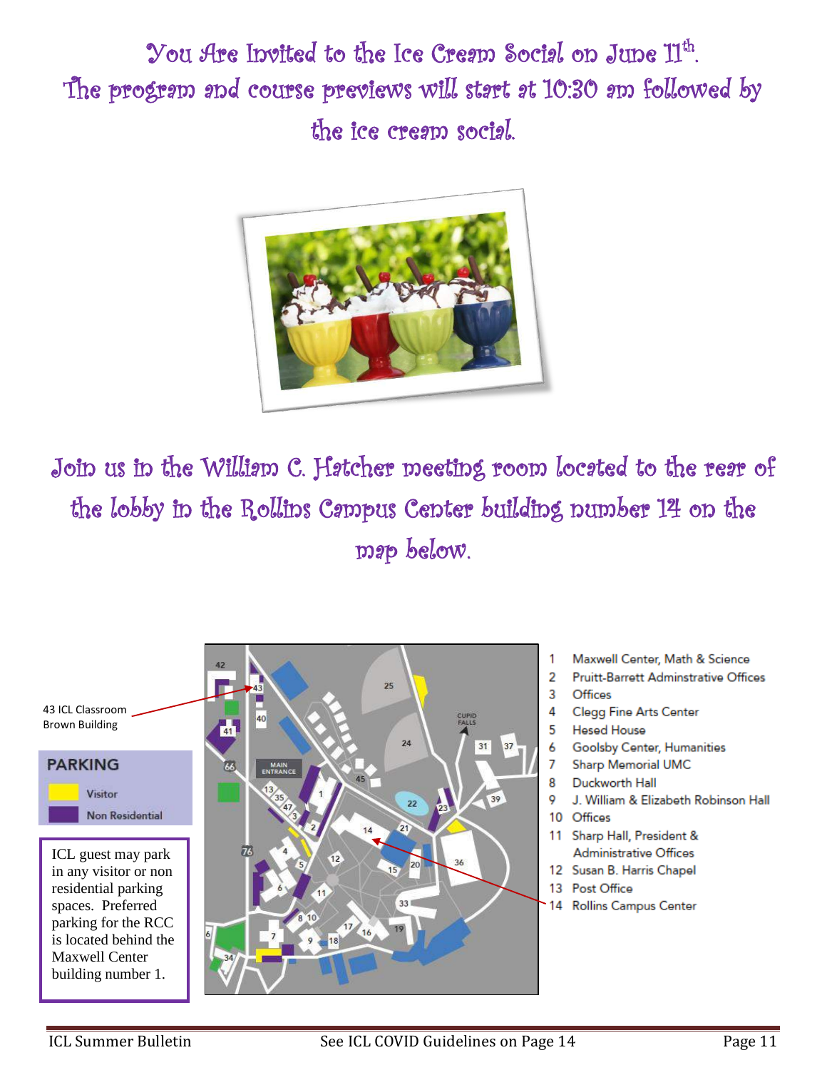$\,$  You Are Invited to the Ice Cresm Socisl on June  $\rm 11^{th}$ . The program and course previews will start at 10:30 am followed by the ice cream social.



Join us in the William C. Hatcher meeting room located to the rear of the lobby in the Rollins Campus Center building number 14 on the map below.

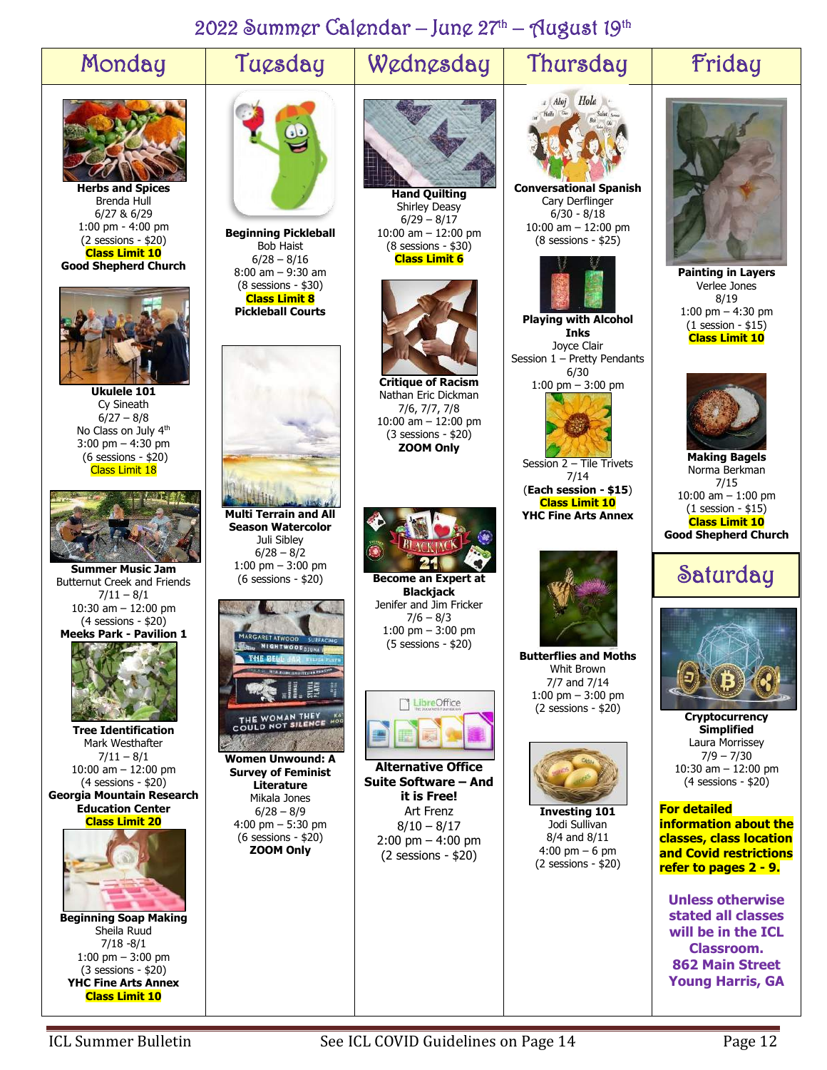# 2022 Summer Calendar – June 27<sup>th</sup> – August 19<sup>th</sup>

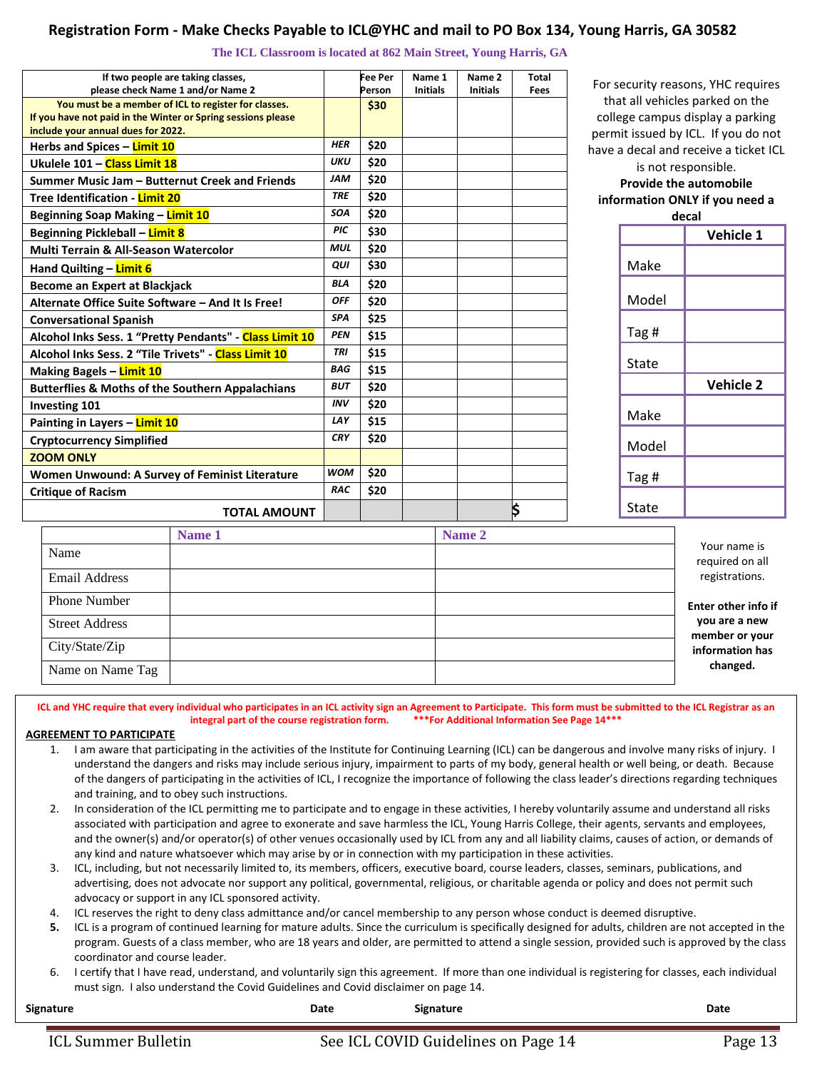#### **Registration Form - Make Checks Payable to ICL@YHC and mail to PO Box 134, Young Harris, GA 30582**

**The ICL Classroom is located at 862 Main Street, Young Harris, GA**

|                               | If two people are taking classes,                                                                  |            | Fee Per | Name 1          | Name <sub>2</sub> | Total | For security reasons, YHC requires    |              |                  |
|-------------------------------|----------------------------------------------------------------------------------------------------|------------|---------|-----------------|-------------------|-------|---------------------------------------|--------------|------------------|
|                               | please check Name 1 and/or Name 2                                                                  |            | Person  | <b>Initials</b> | <b>Initials</b>   | Fees  |                                       |              |                  |
|                               | You must be a member of ICL to register for classes.                                               |            | \$30    |                 |                   |       | that all vehicles parked on the       |              |                  |
|                               | If you have not paid in the Winter or Spring sessions please<br>include your annual dues for 2022. |            |         |                 |                   |       | college campus display a parking      |              |                  |
|                               |                                                                                                    | <b>HER</b> | \$20    |                 |                   |       | permit issued by ICL. If you do not   |              |                  |
|                               | Herbs and Spices - Limit 10                                                                        |            |         |                 |                   |       | have a decal and receive a ticket ICL |              |                  |
|                               | Ukulele 101 - Class Limit 18                                                                       | <b>UKU</b> | \$20    |                 |                   |       | is not responsible.                   |              |                  |
|                               | Summer Music Jam - Butternut Creek and Friends                                                     | <b>JAM</b> | \$20    |                 |                   |       | <b>Provide the automobile</b>         |              |                  |
|                               | <b>Tree Identification - Limit 20</b>                                                              | <b>TRE</b> | \$20    |                 |                   |       | information ONLY if you need a        |              |                  |
|                               | <b>Beginning Soap Making - Limit 10</b>                                                            | <b>SOA</b> | \$20    |                 |                   |       | decal                                 |              |                  |
|                               | <b>Beginning Pickleball - Limit 8</b>                                                              | PIC        | \$30    |                 |                   |       |                                       |              | Vehicle 1        |
|                               | <b>Multi Terrain &amp; All-Season Watercolor</b>                                                   | <b>MUL</b> | \$20    |                 |                   |       |                                       |              |                  |
|                               | Hand Quilting - Limit 6                                                                            | QUI        | \$30    |                 |                   |       |                                       | Make         |                  |
|                               | <b>Become an Expert at Blackjack</b>                                                               | <b>BLA</b> | \$20    |                 |                   |       |                                       |              |                  |
|                               | Alternate Office Suite Software - And It Is Free!                                                  | <b>OFF</b> | \$20    |                 |                   |       |                                       | Model        |                  |
|                               | <b>Conversational Spanish</b>                                                                      | <b>SPA</b> | \$25    |                 |                   |       |                                       |              |                  |
|                               | Alcohol Inks Sess. 1 "Pretty Pendants" - Class Limit 10                                            | <b>PEN</b> | \$15    |                 |                   |       |                                       | Tag #        |                  |
|                               | Alcohol Inks Sess. 2 "Tile Trivets" - Class Limit 10                                               | <b>TRI</b> | \$15    |                 |                   |       |                                       |              |                  |
|                               | <b>Making Bagels – Limit 10</b>                                                                    | <b>BAG</b> | \$15    |                 |                   |       |                                       | <b>State</b> |                  |
|                               | <b>Butterflies &amp; Moths of the Southern Appalachians</b>                                        | <b>BUT</b> | \$20    |                 |                   |       |                                       |              | <b>Vehicle 2</b> |
|                               | <b>Investing 101</b>                                                                               | <b>INV</b> | \$20    |                 |                   |       |                                       |              |                  |
| Painting in Layers - Limit 10 |                                                                                                    | LAY        | \$15    |                 |                   |       |                                       | Make         |                  |
|                               | <b>Cryptocurrency Simplified</b>                                                                   | <b>CRY</b> | \$20    |                 |                   |       |                                       | Model        |                  |
|                               | <b>ZOOM ONLY</b>                                                                                   |            |         |                 |                   |       |                                       |              |                  |
|                               | <b>Women Unwound: A Survey of Feminist Literature</b>                                              | <b>WOM</b> | \$20    |                 |                   |       |                                       | Tag #        |                  |
| <b>Critique of Racism</b>     |                                                                                                    | <b>RAC</b> | \$20    |                 |                   |       |                                       |              |                  |
|                               | <b>TOTAL AMOUNT</b>                                                                                |            |         |                 |                   | \$    |                                       | State        |                  |
|                               | Name 1                                                                                             |            |         |                 | Name 2            |       |                                       |              |                  |
|                               | $N_{\text{max}}$                                                                                   |            |         |                 |                   |       |                                       |              | Your name is     |

|                       | Name 1 | Name 2 |                                 |
|-----------------------|--------|--------|---------------------------------|
| Name                  |        |        | Your name is<br>required on all |
| <b>Email Address</b>  |        |        | registrations.                  |
| Phone Number          |        |        | Enter other info if             |
| <b>Street Address</b> |        |        | you are a new<br>member or your |
| City/State/Zip        |        |        | information has                 |
| Name on Name Tag      |        |        | changed.                        |

**ICL and YHC require that every individual who participates in an ICL activity sign an Agreement to Participate. This form must be submitted to the ICL Registrar as an integral part of the course registration form. \*\*\*For Additional Information See Page 14\*\*\***

#### **AGREEMENT TO PARTICIPATE**

- 1. I am aware that participating in the activities of the Institute for Continuing Learning (ICL) can be dangerous and involve many risks of injury. I understand the dangers and risks may include serious injury, impairment to parts of my body, general health or well being, or death. Because of the dangers of participating in the activities of ICL, I recognize the importance of following the class leader's directions regarding techniques and training, and to obey such instructions.
- 2. In consideration of the ICL permitting me to participate and to engage in these activities, I hereby voluntarily assume and understand all risks associated with participation and agree to exonerate and save harmless the ICL, Young Harris College, their agents, servants and employees, and the owner(s) and/or operator(s) of other venues occasionally used by ICL from any and all liability claims, causes of action, or demands of any kind and nature whatsoever which may arise by or in connection with my participation in these activities.
- 3. ICL, including, but not necessarily limited to, its members, officers, executive board, course leaders, classes, seminars, publications, and advertising, does not advocate nor support any political, governmental, religious, or charitable agenda or policy and does not permit such advocacy or support in any ICL sponsored activity.
- 4. ICL reserves the right to deny class admittance and/or cancel membership to any person whose conduct is deemed disruptive.
- **5.** ICL is a program of continued learning for mature adults. Since the curriculum is specifically designed for adults, children are not accepted in the program. Guests of a class member, who are 18 years and older, are permitted to attend a single session, provided such is approved by the class coordinator and course leader.
- 6. I certify that I have read, understand, and voluntarily sign this agreement. If more than one individual is registering for classes, each individual must sign. I also understand the Covid Guidelines and Covid disclaimer on page 14.

| Signature           | Date | <b>Signature</b>                    | Date    |
|---------------------|------|-------------------------------------|---------|
| ICL Summer Bulletin |      | See ICL COVID Guidelines on Page 14 | Page 13 |